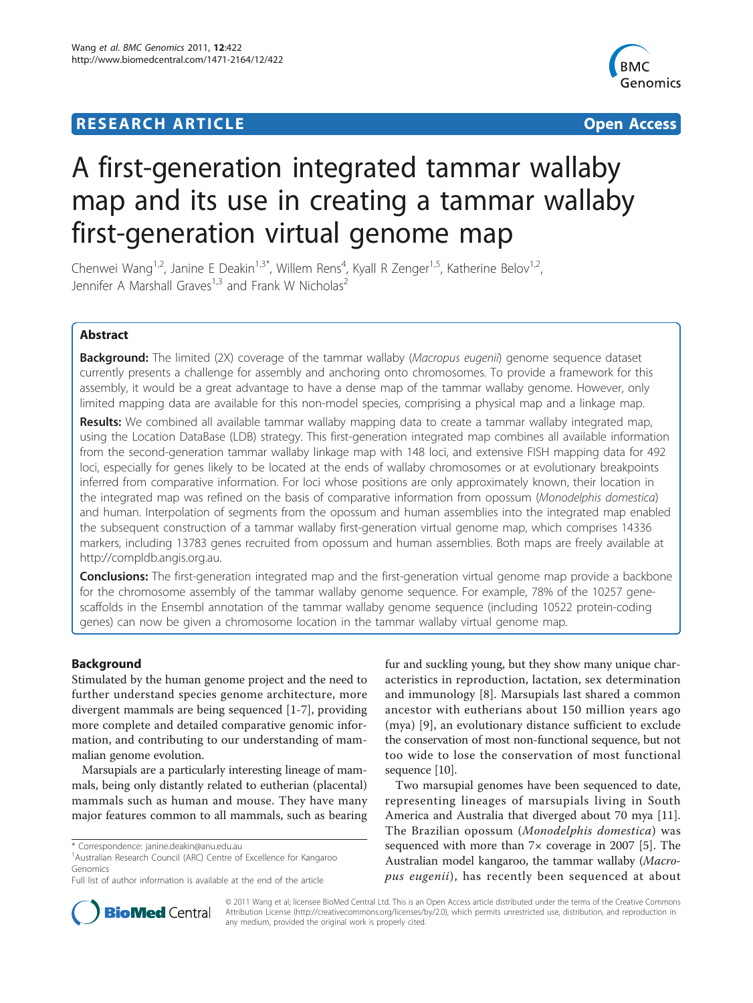## **RESEARCH ARTICLE Example 2014 12:30 The Contract of Contract ACCESS**



# A first-generation integrated tammar wallaby map and its use in creating a tammar wallaby first-generation virtual genome map

Chenwei Wang<sup>1,2</sup>, Janine E Deakin<sup>1,3\*</sup>, Willem Rens<sup>4</sup>, Kyall R Zenger<sup>1,5</sup>, Katherine Belov<sup>1,2</sup>, Jennifer A Marshall Graves<sup>1,3</sup> and Frank W Nicholas<sup>2</sup>

## Abstract

**Background:** The limited (2X) coverage of the tammar wallaby (Macropus eugenii) genome sequence dataset currently presents a challenge for assembly and anchoring onto chromosomes. To provide a framework for this assembly, it would be a great advantage to have a dense map of the tammar wallaby genome. However, only limited mapping data are available for this non-model species, comprising a physical map and a linkage map.

Results: We combined all available tammar wallaby mapping data to create a tammar wallaby integrated map, using the Location DataBase (LDB) strategy. This first-generation integrated map combines all available information from the second-generation tammar wallaby linkage map with 148 loci, and extensive FISH mapping data for 492 loci, especially for genes likely to be located at the ends of wallaby chromosomes or at evolutionary breakpoints inferred from comparative information. For loci whose positions are only approximately known, their location in the integrated map was refined on the basis of comparative information from opossum (Monodelphis domestica) and human. Interpolation of segments from the opossum and human assemblies into the integrated map enabled the subsequent construction of a tammar wallaby first-generation virtual genome map, which comprises 14336 markers, including 13783 genes recruited from opossum and human assemblies. Both maps are freely available at [http://compldb.angis.org.au.](http://compldb.angis.org.au)

**Conclusions:** The first-generation integrated map and the first-generation virtual genome map provide a backbone for the chromosome assembly of the tammar wallaby genome sequence. For example, 78% of the 10257 genescaffolds in the Ensembl annotation of the tammar wallaby genome sequence (including 10522 protein-coding genes) can now be given a chromosome location in the tammar wallaby virtual genome map.

#### Background

Stimulated by the human genome project and the need to further understand species genome architecture, more divergent mammals are being sequenced [[1-7](#page-11-0)], providing more complete and detailed comparative genomic information, and contributing to our understanding of mammalian genome evolution.

Marsupials are a particularly interesting lineage of mammals, being only distantly related to eutherian (placental) mammals such as human and mouse. They have many major features common to all mammals, such as bearing

<sup>1</sup> Australian Research Council (ARC) Centre of Excellence for Kangaroo Genomics



Two marsupial genomes have been sequenced to date, representing lineages of marsupials living in South America and Australia that diverged about 70 mya [\[11](#page-11-0)]. The Brazilian opossum (Monodelphis domestica) was sequenced with more than 7× coverage in 2007 [[5\]](#page-11-0). The Australian model kangaroo, the tammar wallaby (Macropus eugenii), has recently been sequenced at about



© 2011 Wang et al; licensee BioMed Central Ltd. This is an Open Access article distributed under the terms of the Creative Commons Attribution License [\(http://creativecommons.org/licenses/by/2.0](http://creativecommons.org/licenses/by/2.0)), which permits unrestricted use, distribution, and reproduction in any medium, provided the original work is properly cited.

<sup>\*</sup> Correspondence: [janine.deakin@anu.edu.au](mailto:janine.deakin@anu.edu.au)

Full list of author information is available at the end of the article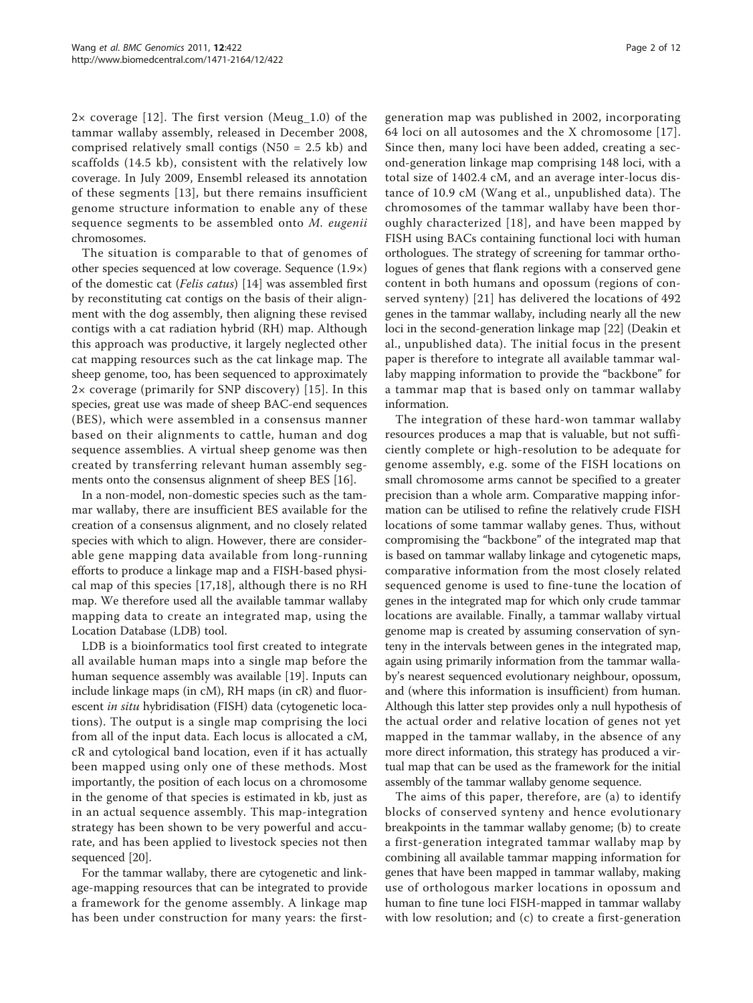$2 \times$  coverage [[12](#page-11-0)]. The first version (Meug\_1.0) of the tammar wallaby assembly, released in December 2008, comprised relatively small contigs (N50 = 2.5 kb) and scaffolds (14.5 kb), consistent with the relatively low coverage. In July 2009, Ensembl released its annotation of these segments [\[13\]](#page-11-0), but there remains insufficient genome structure information to enable any of these sequence segments to be assembled onto M. eugenii chromosomes.

The situation is comparable to that of genomes of other species sequenced at low coverage. Sequence (1.9×) of the domestic cat (Felis catus) [[14\]](#page-11-0) was assembled first by reconstituting cat contigs on the basis of their alignment with the dog assembly, then aligning these revised contigs with a cat radiation hybrid (RH) map. Although this approach was productive, it largely neglected other cat mapping resources such as the cat linkage map. The sheep genome, too, has been sequenced to approximately 2× coverage (primarily for SNP discovery) [[15](#page-11-0)]. In this species, great use was made of sheep BAC-end sequences (BES), which were assembled in a consensus manner based on their alignments to cattle, human and dog sequence assemblies. A virtual sheep genome was then created by transferring relevant human assembly segments onto the consensus alignment of sheep BES [[16\]](#page-11-0).

In a non-model, non-domestic species such as the tammar wallaby, there are insufficient BES available for the creation of a consensus alignment, and no closely related species with which to align. However, there are considerable gene mapping data available from long-running efforts to produce a linkage map and a FISH-based physical map of this species [[17,18](#page-11-0)], although there is no RH map. We therefore used all the available tammar wallaby mapping data to create an integrated map, using the Location Database (LDB) tool.

LDB is a bioinformatics tool first created to integrate all available human maps into a single map before the human sequence assembly was available [[19\]](#page-11-0). Inputs can include linkage maps (in cM), RH maps (in cR) and fluorescent in situ hybridisation (FISH) data (cytogenetic locations). The output is a single map comprising the loci from all of the input data. Each locus is allocated a cM, cR and cytological band location, even if it has actually been mapped using only one of these methods. Most importantly, the position of each locus on a chromosome in the genome of that species is estimated in kb, just as in an actual sequence assembly. This map-integration strategy has been shown to be very powerful and accurate, and has been applied to livestock species not then sequenced [[20\]](#page-11-0).

For the tammar wallaby, there are cytogenetic and linkage-mapping resources that can be integrated to provide a framework for the genome assembly. A linkage map has been under construction for many years: the firstgeneration map was published in 2002, incorporating 64 loci on all autosomes and the X chromosome [[17\]](#page-11-0). Since then, many loci have been added, creating a second-generation linkage map comprising 148 loci, with a total size of 1402.4 cM, and an average inter-locus distance of 10.9 cM (Wang et al., unpublished data). The chromosomes of the tammar wallaby have been thoroughly characterized [[18](#page-11-0)], and have been mapped by FISH using BACs containing functional loci with human orthologues. The strategy of screening for tammar orthologues of genes that flank regions with a conserved gene content in both humans and opossum (regions of conserved synteny) [[21\]](#page-11-0) has delivered the locations of 492 genes in the tammar wallaby, including nearly all the new loci in the second-generation linkage map [[22\]](#page-11-0) (Deakin et al., unpublished data). The initial focus in the present paper is therefore to integrate all available tammar wallaby mapping information to provide the "backbone" for a tammar map that is based only on tammar wallaby information.

The integration of these hard-won tammar wallaby resources produces a map that is valuable, but not sufficiently complete or high-resolution to be adequate for genome assembly, e.g. some of the FISH locations on small chromosome arms cannot be specified to a greater precision than a whole arm. Comparative mapping information can be utilised to refine the relatively crude FISH locations of some tammar wallaby genes. Thus, without compromising the "backbone" of the integrated map that is based on tammar wallaby linkage and cytogenetic maps, comparative information from the most closely related sequenced genome is used to fine-tune the location of genes in the integrated map for which only crude tammar locations are available. Finally, a tammar wallaby virtual genome map is created by assuming conservation of synteny in the intervals between genes in the integrated map, again using primarily information from the tammar wallaby's nearest sequenced evolutionary neighbour, opossum, and (where this information is insufficient) from human. Although this latter step provides only a null hypothesis of the actual order and relative location of genes not yet mapped in the tammar wallaby, in the absence of any more direct information, this strategy has produced a virtual map that can be used as the framework for the initial assembly of the tammar wallaby genome sequence.

The aims of this paper, therefore, are (a) to identify blocks of conserved synteny and hence evolutionary breakpoints in the tammar wallaby genome; (b) to create a first-generation integrated tammar wallaby map by combining all available tammar mapping information for genes that have been mapped in tammar wallaby, making use of orthologous marker locations in opossum and human to fine tune loci FISH-mapped in tammar wallaby with low resolution; and (c) to create a first-generation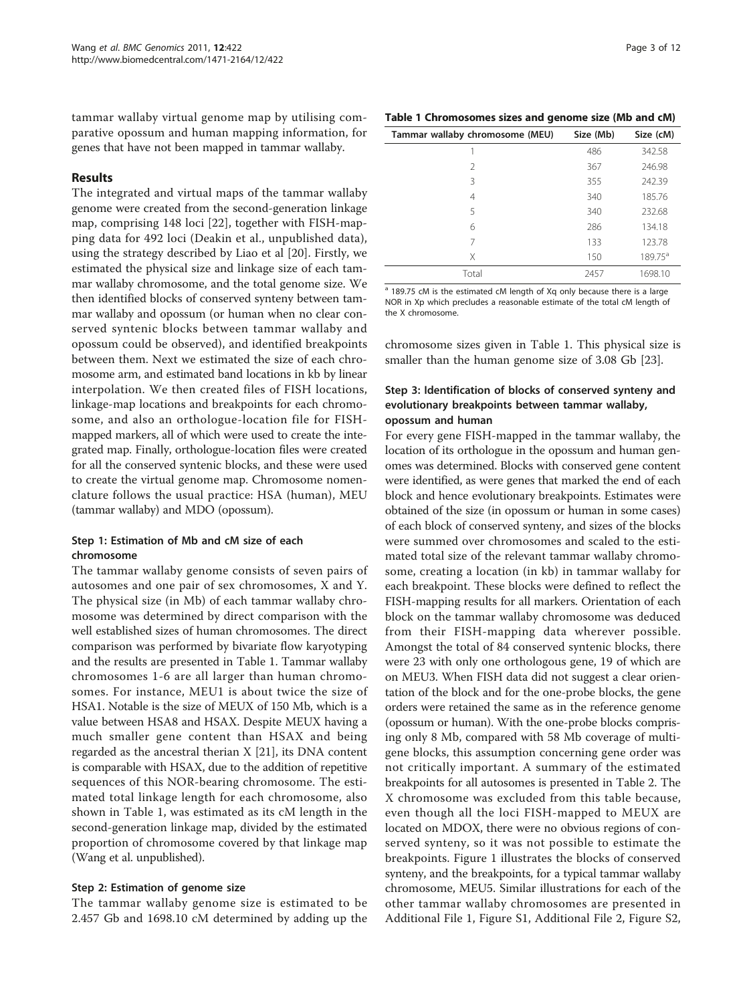<span id="page-2-0"></span>tammar wallaby virtual genome map by utilising comparative opossum and human mapping information, for genes that have not been mapped in tammar wallaby.

## Results

The integrated and virtual maps of the tammar wallaby genome were created from the second-generation linkage map, comprising 148 loci [[22\]](#page-11-0), together with FISH-mapping data for 492 loci (Deakin et al., unpublished data), using the strategy described by Liao et al [[20](#page-11-0)]. Firstly, we estimated the physical size and linkage size of each tammar wallaby chromosome, and the total genome size. We then identified blocks of conserved synteny between tammar wallaby and opossum (or human when no clear conserved syntenic blocks between tammar wallaby and opossum could be observed), and identified breakpoints between them. Next we estimated the size of each chromosome arm, and estimated band locations in kb by linear interpolation. We then created files of FISH locations, linkage-map locations and breakpoints for each chromosome, and also an orthologue-location file for FISHmapped markers, all of which were used to create the integrated map. Finally, orthologue-location files were created for all the conserved syntenic blocks, and these were used to create the virtual genome map. Chromosome nomenclature follows the usual practice: HSA (human), MEU (tammar wallaby) and MDO (opossum).

## Step 1: Estimation of Mb and cM size of each chromosome

The tammar wallaby genome consists of seven pairs of autosomes and one pair of sex chromosomes, X and Y. The physical size (in Mb) of each tammar wallaby chromosome was determined by direct comparison with the well established sizes of human chromosomes. The direct comparison was performed by bivariate flow karyotyping and the results are presented in Table 1. Tammar wallaby chromosomes 1-6 are all larger than human chromosomes. For instance, MEU1 is about twice the size of HSA1. Notable is the size of MEUX of 150 Mb, which is a value between HSA8 and HSAX. Despite MEUX having a much smaller gene content than HSAX and being regarded as the ancestral therian X [\[21\]](#page-11-0), its DNA content is comparable with HSAX, due to the addition of repetitive sequences of this NOR-bearing chromosome. The estimated total linkage length for each chromosome, also shown in Table 1, was estimated as its cM length in the second-generation linkage map, divided by the estimated proportion of chromosome covered by that linkage map (Wang et al. unpublished).

## Step 2: Estimation of genome size

The tammar wallaby genome size is estimated to be 2.457 Gb and 1698.10 cM determined by adding up the

## Table 1 Chromosomes sizes and genome size (Mb and cM)

| Tammar wallaby chromosome (MEU) | Size (Mb) | Size (cM)  |
|---------------------------------|-----------|------------|
|                                 | 486       | 342.58     |
| $\mathcal{P}$                   | 367       | 246.98     |
| 3                               | 355       | 242.39     |
| $\overline{4}$                  | 340       | 185.76     |
| 5                               | 340       | 232.68     |
| 6                               | 286       | 134.18     |
| 7                               | 133       | 123.78     |
| X                               | 150       | $189.75^a$ |
| Total                           | 2457      | 1698.10    |

 $\frac{a}{a}$  189.75 cM is the estimated cM length of Xq only because there is a large NOR in Xp which precludes a reasonable estimate of the total cM length of the X chromosome.

chromosome sizes given in Table 1. This physical size is smaller than the human genome size of 3.08 Gb [\[23\]](#page-11-0).

## Step 3: Identification of blocks of conserved synteny and evolutionary breakpoints between tammar wallaby, opossum and human

For every gene FISH-mapped in the tammar wallaby, the location of its orthologue in the opossum and human genomes was determined. Blocks with conserved gene content were identified, as were genes that marked the end of each block and hence evolutionary breakpoints. Estimates were obtained of the size (in opossum or human in some cases) of each block of conserved synteny, and sizes of the blocks were summed over chromosomes and scaled to the estimated total size of the relevant tammar wallaby chromosome, creating a location (in kb) in tammar wallaby for each breakpoint. These blocks were defined to reflect the FISH-mapping results for all markers. Orientation of each block on the tammar wallaby chromosome was deduced from their FISH-mapping data wherever possible. Amongst the total of 84 conserved syntenic blocks, there were 23 with only one orthologous gene, 19 of which are on MEU3. When FISH data did not suggest a clear orientation of the block and for the one-probe blocks, the gene orders were retained the same as in the reference genome (opossum or human). With the one-probe blocks comprising only 8 Mb, compared with 58 Mb coverage of multigene blocks, this assumption concerning gene order was not critically important. A summary of the estimated breakpoints for all autosomes is presented in Table [2.](#page-3-0) The X chromosome was excluded from this table because, even though all the loci FISH-mapped to MEUX are located on MDOX, there were no obvious regions of conserved synteny, so it was not possible to estimate the breakpoints. Figure [1](#page-4-0) illustrates the blocks of conserved synteny, and the breakpoints, for a typical tammar wallaby chromosome, MEU5. Similar illustrations for each of the other tammar wallaby chromosomes are presented in Additional File [1,](#page-10-0) Figure S1, Additional File [2](#page-10-0), Figure S2,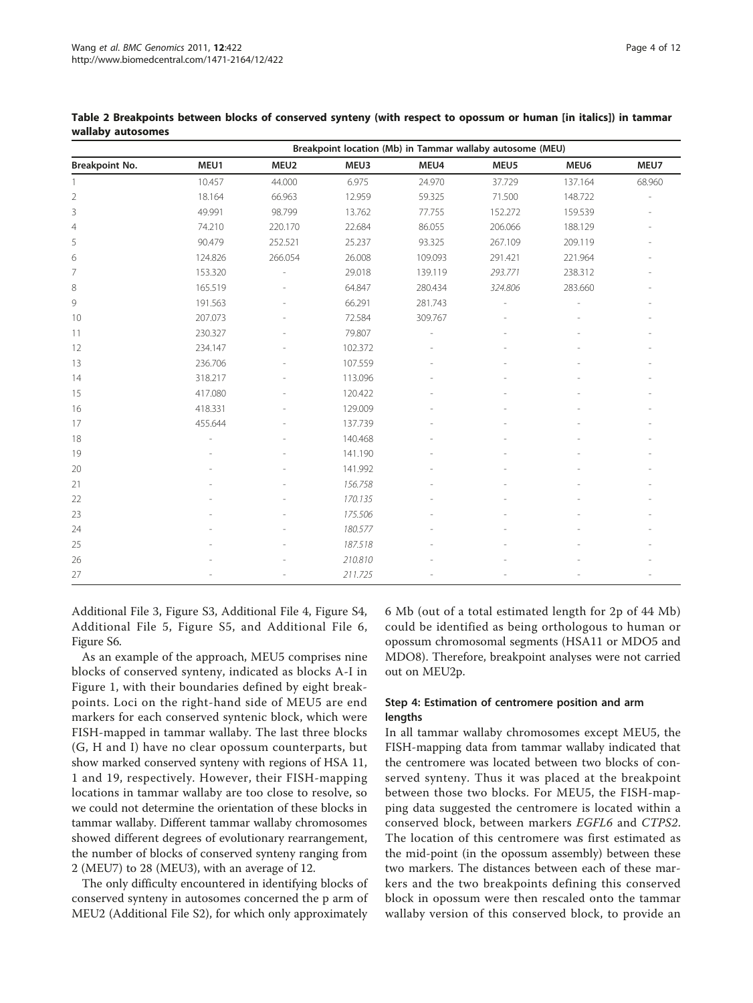|                       | Breakpoint location (Mb) in Tammar wallaby autosome (MEU) |         |         |         |         |         |        |  |
|-----------------------|-----------------------------------------------------------|---------|---------|---------|---------|---------|--------|--|
| <b>Breakpoint No.</b> | MEU1                                                      | MEU2    | MEU3    | MEU4    | MEU5    | MEU6    | MEU7   |  |
|                       | 10.457                                                    | 44.000  | 6.975   | 24.970  | 37.729  | 137.164 | 68.960 |  |
| $\overline{2}$        | 18.164                                                    | 66.963  | 12.959  | 59.325  | 71.500  | 148.722 |        |  |
| 3                     | 49.991                                                    | 98.799  | 13.762  | 77.755  | 152.272 | 159.539 |        |  |
| 4                     | 74.210                                                    | 220.170 | 22.684  | 86.055  | 206.066 | 188.129 |        |  |
| 5                     | 90.479                                                    | 252.521 | 25.237  | 93.325  | 267.109 | 209.119 |        |  |
| 6                     | 124.826                                                   | 266.054 | 26.008  | 109.093 | 291.421 | 221.964 |        |  |
| 7                     | 153.320                                                   |         | 29.018  | 139.119 | 293.771 | 238.312 |        |  |
| 8                     | 165.519                                                   |         | 64.847  | 280.434 | 324.806 | 283.660 |        |  |
| 9                     | 191.563                                                   |         | 66.291  | 281.743 |         |         |        |  |
| 10                    | 207.073                                                   |         | 72.584  | 309.767 |         |         |        |  |
| 11                    | 230.327                                                   |         | 79.807  |         |         |         |        |  |
| 12                    | 234.147                                                   |         | 102.372 |         |         |         |        |  |
| 13                    | 236.706                                                   |         | 107.559 |         |         |         |        |  |
| 14                    | 318.217                                                   |         | 113.096 |         |         |         |        |  |
| 15                    | 417.080                                                   |         | 120.422 |         |         |         |        |  |
| 16                    | 418.331                                                   |         | 129.009 |         |         |         |        |  |
| 17                    | 455.644                                                   |         | 137.739 |         |         |         |        |  |
| 18                    |                                                           |         | 140.468 |         |         |         |        |  |
| 19                    |                                                           |         | 141.190 |         |         |         |        |  |
| 20                    |                                                           |         | 141.992 |         |         |         |        |  |
| 21                    |                                                           |         | 156.758 |         |         |         |        |  |
| 22                    |                                                           |         | 170.135 |         |         |         |        |  |
| 23                    |                                                           |         | 175.506 |         |         |         |        |  |
| 24                    |                                                           |         | 180.577 |         |         |         |        |  |
| 25                    |                                                           |         | 187.518 |         |         |         |        |  |
| 26                    |                                                           |         | 210.810 |         |         |         |        |  |
| 27                    |                                                           |         | 211.725 |         |         |         |        |  |

<span id="page-3-0"></span>Table 2 Breakpoints between blocks of conserved synteny (with respect to opossum or human [in italics]) in tammar wallaby autosomes

Additional File [3,](#page-10-0) Figure S3, Additional File [4](#page-10-0), Figure S4, Additional File [5,](#page-10-0) Figure S5, and Additional File [6](#page-10-0), Figure S6.

As an example of the approach, MEU5 comprises nine blocks of conserved synteny, indicated as blocks A-I in Figure [1,](#page-4-0) with their boundaries defined by eight breakpoints. Loci on the right-hand side of MEU5 are end markers for each conserved syntenic block, which were FISH-mapped in tammar wallaby. The last three blocks (G, H and I) have no clear opossum counterparts, but show marked conserved synteny with regions of HSA 11, 1 and 19, respectively. However, their FISH-mapping locations in tammar wallaby are too close to resolve, so we could not determine the orientation of these blocks in tammar wallaby. Different tammar wallaby chromosomes showed different degrees of evolutionary rearrangement, the number of blocks of conserved synteny ranging from 2 (MEU7) to 28 (MEU3), with an average of 12.

The only difficulty encountered in identifying blocks of conserved synteny in autosomes concerned the p arm of MEU2 (Additional File S2), for which only approximately

6 Mb (out of a total estimated length for 2p of 44 Mb) could be identified as being orthologous to human or opossum chromosomal segments (HSA11 or MDO5 and MDO8). Therefore, breakpoint analyses were not carried out on MEU2p.

## Step 4: Estimation of centromere position and arm lengths

In all tammar wallaby chromosomes except MEU5, the FISH-mapping data from tammar wallaby indicated that the centromere was located between two blocks of conserved synteny. Thus it was placed at the breakpoint between those two blocks. For MEU5, the FISH-mapping data suggested the centromere is located within a conserved block, between markers EGFL6 and CTPS2. The location of this centromere was first estimated as the mid-point (in the opossum assembly) between these two markers. The distances between each of these markers and the two breakpoints defining this conserved block in opossum were then rescaled onto the tammar wallaby version of this conserved block, to provide an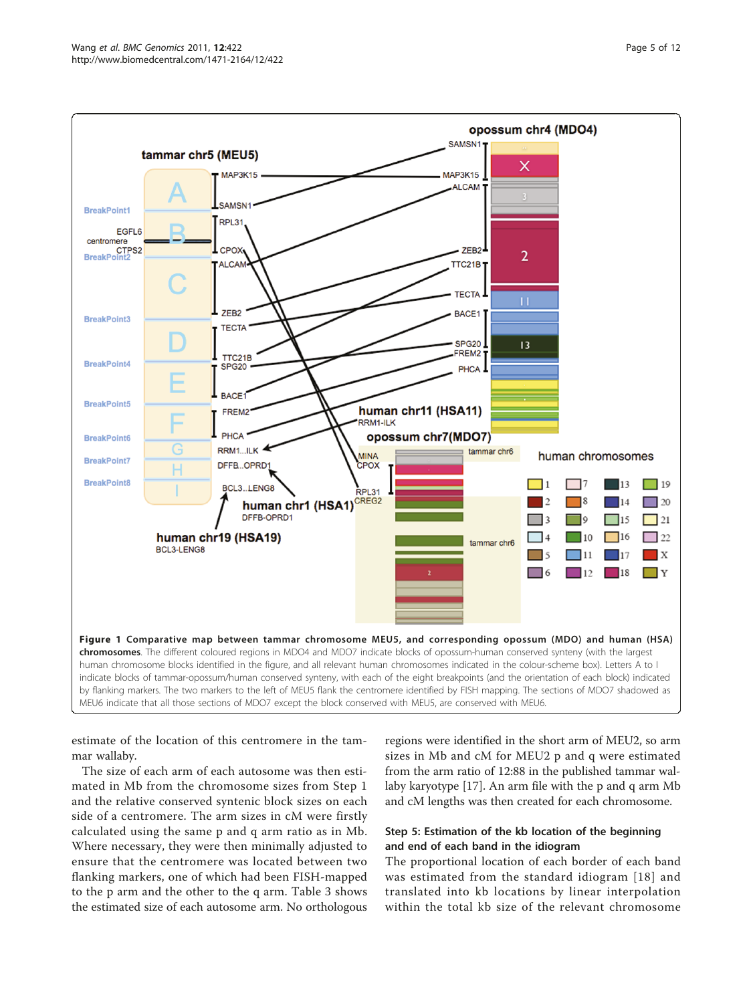<span id="page-4-0"></span>

estimate of the location of this centromere in the tammar wallaby.

The size of each arm of each autosome was then estimated in Mb from the chromosome sizes from Step 1 and the relative conserved syntenic block sizes on each side of a centromere. The arm sizes in cM were firstly calculated using the same p and q arm ratio as in Mb. Where necessary, they were then minimally adjusted to ensure that the centromere was located between two flanking markers, one of which had been FISH-mapped to the p arm and the other to the q arm. Table [3](#page-5-0) shows the estimated size of each autosome arm. No orthologous

regions were identified in the short arm of MEU2, so arm sizes in Mb and cM for MEU2 p and q were estimated from the arm ratio of 12:88 in the published tammar wallaby karyotype [\[17\]](#page-11-0). An arm file with the p and q arm Mb and cM lengths was then created for each chromosome.

## Step 5: Estimation of the kb location of the beginning and end of each band in the idiogram

The proportional location of each border of each band was estimated from the standard idiogram [[18](#page-11-0)] and translated into kb locations by linear interpolation within the total kb size of the relevant chromosome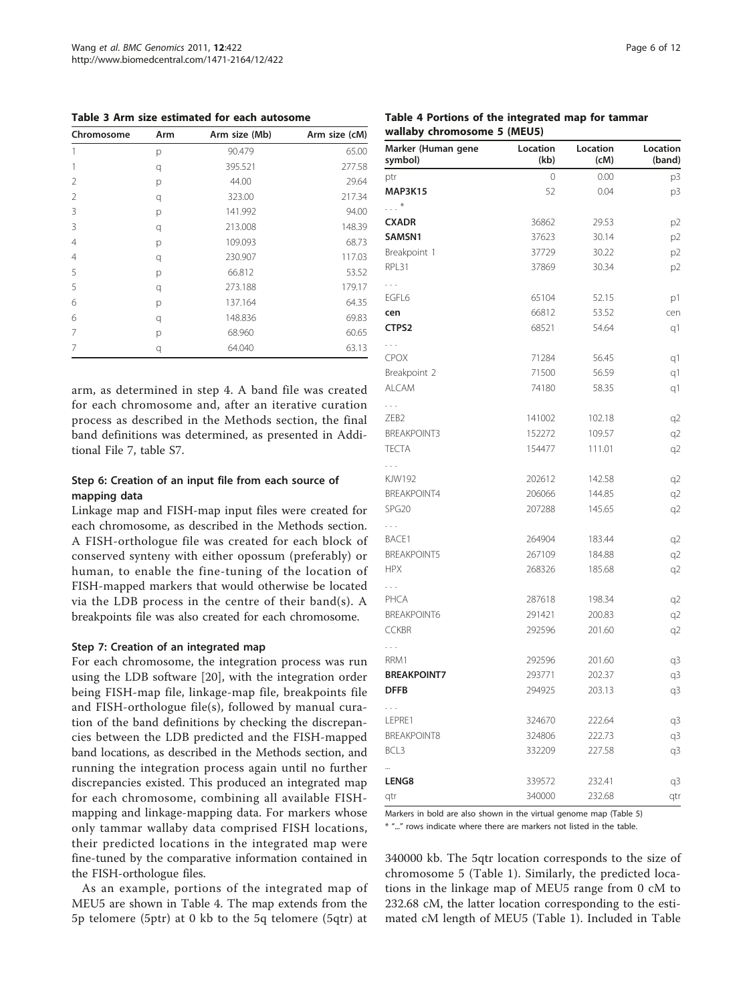<span id="page-5-0"></span>Table 3 Arm size estimated for each autosome

| Chromosome     | Arm | Arm size (Mb) | Arm size (cM) |
|----------------|-----|---------------|---------------|
| 1              | p   | 90.479        | 65.00         |
|                | q   | 395.521       | 277.58        |
| $\mathcal{P}$  | p   | 44.00         | 29.64         |
| $\overline{2}$ | q   | 323.00        | 217.34        |
| 3              | p   | 141.992       | 94.00         |
| 3              | q   | 213.008       | 148.39        |
| $\overline{4}$ | р   | 109.093       | 68.73         |
| $\overline{4}$ | q   | 230.907       | 117.03        |
| 5              | р   | 66.812        | 53.52         |
| 5              | q   | 273.188       | 179.17        |
| 6              | p   | 137.164       | 64.35         |
| 6              | q   | 148.836       | 69.83         |
| 7              | р   | 68.960        | 60.65         |
| 7              | q   | 64.040        | 63.13         |

arm, as determined in step 4. A band file was created for each chromosome and, after an iterative curation process as described in the Methods section, the final band definitions was determined, as presented in Additional File [7,](#page-10-0) table S7.

## Step 6: Creation of an input file from each source of mapping data

Linkage map and FISH-map input files were created for each chromosome, as described in the Methods section. A FISH-orthologue file was created for each block of conserved synteny with either opossum (preferably) or human, to enable the fine-tuning of the location of FISH-mapped markers that would otherwise be located via the LDB process in the centre of their band(s). A breakpoints file was also created for each chromosome.

## Step 7: Creation of an integrated map

For each chromosome, the integration process was run using the LDB software [\[20](#page-11-0)], with the integration order being FISH-map file, linkage-map file, breakpoints file and FISH-orthologue file(s), followed by manual curation of the band definitions by checking the discrepancies between the LDB predicted and the FISH-mapped band locations, as described in the Methods section, and running the integration process again until no further discrepancies existed. This produced an integrated map for each chromosome, combining all available FISHmapping and linkage-mapping data. For markers whose only tammar wallaby data comprised FISH locations, their predicted locations in the integrated map were fine-tuned by the comparative information contained in the FISH-orthologue files.

As an example, portions of the integrated map of MEU5 are shown in Table 4. The map extends from the 5p telomere (5ptr) at 0 kb to the 5q telomere (5qtr) at

| Page 6 of 12 |  |  |
|--------------|--|--|
|              |  |  |

#### Table 4 Portions of the integrated map for tammar wallaby chromosome 5 (MEU5)

| Marker (Human gene<br>symbol) | Location<br>(kb) | Location<br>(M) | Location<br>(band) |
|-------------------------------|------------------|-----------------|--------------------|
| ptr                           | 0                | 0.00            | p3                 |
| <b>MAP3K15</b>                | 52               | 0.04            | p3                 |
| . *                           |                  |                 |                    |
| <b>CXADR</b>                  | 36862            | 29.53           | p2                 |
| SAMSN1                        | 37623            | 30.14           | p2                 |
| Breakpoint 1                  | 37729            | 30.22           | p2                 |
| RPL31                         | 37869            | 30.34           | p2                 |
| .                             |                  |                 |                    |
| EGFL6                         | 65104            | 52.15           | p1                 |
| cen                           | 66812            | 53.52           | cen                |
| CTPS2                         | 68521            | 54.64           | q1                 |
| .<br><b>CPOX</b>              | 71284            | 56.45           |                    |
| Breakpoint 2                  | 71500            | 56.59           | q1                 |
| <b>ALCAM</b>                  | 74180            | 58.35           | q1                 |
|                               |                  |                 | q1                 |
| .<br>ZEB <sub>2</sub>         |                  | 102.18          |                    |
| <b>BREAKPOINT3</b>            | 141002           |                 | q2                 |
|                               | 152272           | 109.57          | q2                 |
| TECTA<br>.                    | 154477           | 111.01          | q2                 |
| <b>KJW192</b>                 | 202612           | 142.58          | q2                 |
| <b>BREAKPOINT4</b>            | 206066           | 144.85          | q2                 |
| SPG <sub>20</sub>             | 207288           | 145.65          | q2                 |
| .<br>BACE1                    | 264904           | 183.44          | q2                 |
| <b>BREAKPOINT5</b>            | 267109           | 184.88          | q2                 |
| <b>HPX</b>                    | 268326           | 185.68          | q2                 |
| .                             |                  |                 |                    |
| PHCA                          | 287618           | 198.34          | q2                 |
| <b>BREAKPOINT6</b>            | 291421           | 200.83          | q2                 |
| <b>CCKBR</b>                  | 292596           | 201.60          | q2                 |
|                               |                  |                 |                    |
| .<br>RRM1                     | 292596           | 201.60          | q3                 |
| <b>BREAKPOINT7</b>            | 293771           | 202.37          | q3                 |
| <b>DFFB</b>                   | 294925           | 203.13          | q3                 |
| .                             |                  |                 |                    |
| LEPRE1                        | 324670           | 222.64          | q3                 |
| <b>BREAKPOINT8</b>            | 324806           | 222.73          | q3                 |
| BCL3                          | 332209           | 227.58          | q3                 |
|                               |                  |                 |                    |
| LENG8                         | 339572           | 232.41          | q3                 |
| qtr                           | 340000           | 232.68          | qtr                |

Markers in bold are also shown in the virtual genome map (Table 5) \* "..." rows indicate where there are markers not listed in the table.

340000 kb. The 5qtr location corresponds to the size of chromosome 5 (Table [1\)](#page-2-0). Similarly, the predicted locations in the linkage map of MEU5 range from 0 cM to 232.68 cM, the latter location corresponding to the estimated cM length of MEU5 (Table [1\)](#page-2-0). Included in Table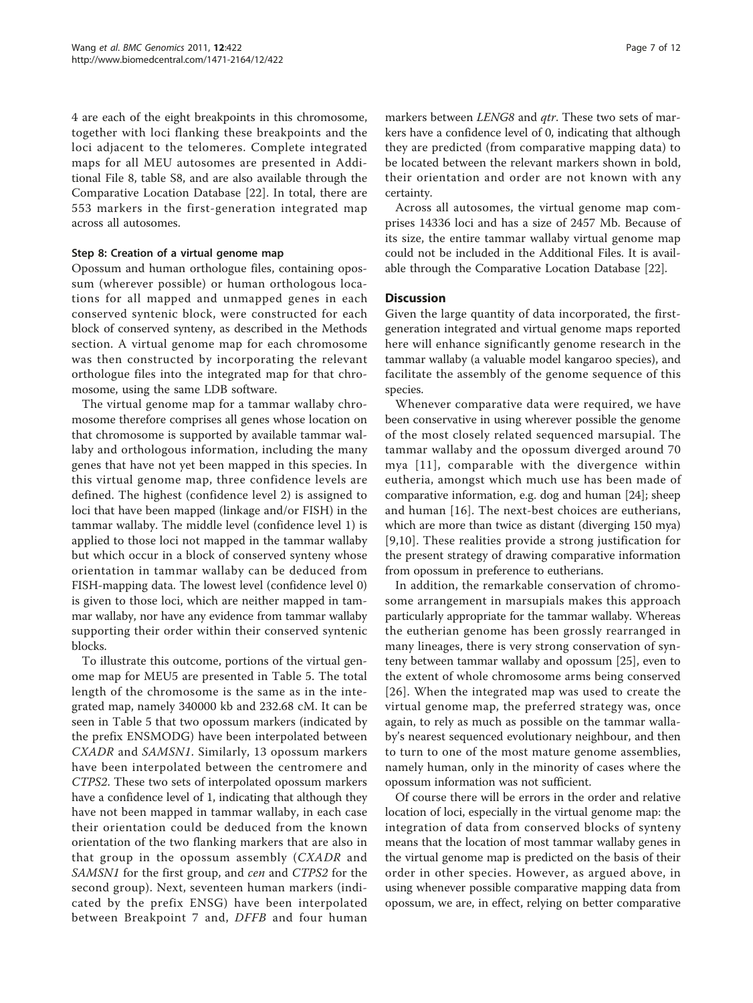[4](#page-5-0) are each of the eight breakpoints in this chromosome, together with loci flanking these breakpoints and the loci adjacent to the telomeres. Complete integrated maps for all MEU autosomes are presented in Additional File [8](#page-10-0), table S8, and are also available through the Comparative Location Database [\[22](#page-11-0)]. In total, there are 553 markers in the first-generation integrated map across all autosomes.

#### Step 8: Creation of a virtual genome map

Opossum and human orthologue files, containing opossum (wherever possible) or human orthologous locations for all mapped and unmapped genes in each conserved syntenic block, were constructed for each block of conserved synteny, as described in the Methods section. A virtual genome map for each chromosome was then constructed by incorporating the relevant orthologue files into the integrated map for that chromosome, using the same LDB software.

The virtual genome map for a tammar wallaby chromosome therefore comprises all genes whose location on that chromosome is supported by available tammar wallaby and orthologous information, including the many genes that have not yet been mapped in this species. In this virtual genome map, three confidence levels are defined. The highest (confidence level 2) is assigned to loci that have been mapped (linkage and/or FISH) in the tammar wallaby. The middle level (confidence level 1) is applied to those loci not mapped in the tammar wallaby but which occur in a block of conserved synteny whose orientation in tammar wallaby can be deduced from FISH-mapping data. The lowest level (confidence level 0) is given to those loci, which are neither mapped in tammar wallaby, nor have any evidence from tammar wallaby supporting their order within their conserved syntenic blocks.

To illustrate this outcome, portions of the virtual genome map for MEU5 are presented in Table [5.](#page-7-0) The total length of the chromosome is the same as in the integrated map, namely 340000 kb and 232.68 cM. It can be seen in Table [5](#page-7-0) that two opossum markers (indicated by the prefix ENSMODG) have been interpolated between CXADR and SAMSN1. Similarly, 13 opossum markers have been interpolated between the centromere and CTPS2. These two sets of interpolated opossum markers have a confidence level of 1, indicating that although they have not been mapped in tammar wallaby, in each case their orientation could be deduced from the known orientation of the two flanking markers that are also in that group in the opossum assembly (CXADR and SAMSN1 for the first group, and cen and CTPS2 for the second group). Next, seventeen human markers (indicated by the prefix ENSG) have been interpolated between Breakpoint 7 and, DFFB and four human markers between LENG8 and qtr. These two sets of markers have a confidence level of 0, indicating that although they are predicted (from comparative mapping data) to be located between the relevant markers shown in bold, their orientation and order are not known with any certainty.

Across all autosomes, the virtual genome map comprises 14336 loci and has a size of 2457 Mb. Because of its size, the entire tammar wallaby virtual genome map could not be included in the Additional Files. It is available through the Comparative Location Database [\[22\]](#page-11-0).

## **Discussion**

Given the large quantity of data incorporated, the firstgeneration integrated and virtual genome maps reported here will enhance significantly genome research in the tammar wallaby (a valuable model kangaroo species), and facilitate the assembly of the genome sequence of this species.

Whenever comparative data were required, we have been conservative in using wherever possible the genome of the most closely related sequenced marsupial. The tammar wallaby and the opossum diverged around 70 mya [[11\]](#page-11-0), comparable with the divergence within eutheria, amongst which much use has been made of comparative information, e.g. dog and human [[24](#page-11-0)]; sheep and human [\[16\]](#page-11-0). The next-best choices are eutherians, which are more than twice as distant (diverging 150 mya) [[9](#page-11-0),[10\]](#page-11-0). These realities provide a strong justification for the present strategy of drawing comparative information from opossum in preference to eutherians.

In addition, the remarkable conservation of chromosome arrangement in marsupials makes this approach particularly appropriate for the tammar wallaby. Whereas the eutherian genome has been grossly rearranged in many lineages, there is very strong conservation of synteny between tammar wallaby and opossum [[25](#page-11-0)], even to the extent of whole chromosome arms being conserved [[26\]](#page-11-0). When the integrated map was used to create the virtual genome map, the preferred strategy was, once again, to rely as much as possible on the tammar wallaby's nearest sequenced evolutionary neighbour, and then to turn to one of the most mature genome assemblies, namely human, only in the minority of cases where the opossum information was not sufficient.

Of course there will be errors in the order and relative location of loci, especially in the virtual genome map: the integration of data from conserved blocks of synteny means that the location of most tammar wallaby genes in the virtual genome map is predicted on the basis of their order in other species. However, as argued above, in using whenever possible comparative mapping data from opossum, we are, in effect, relying on better comparative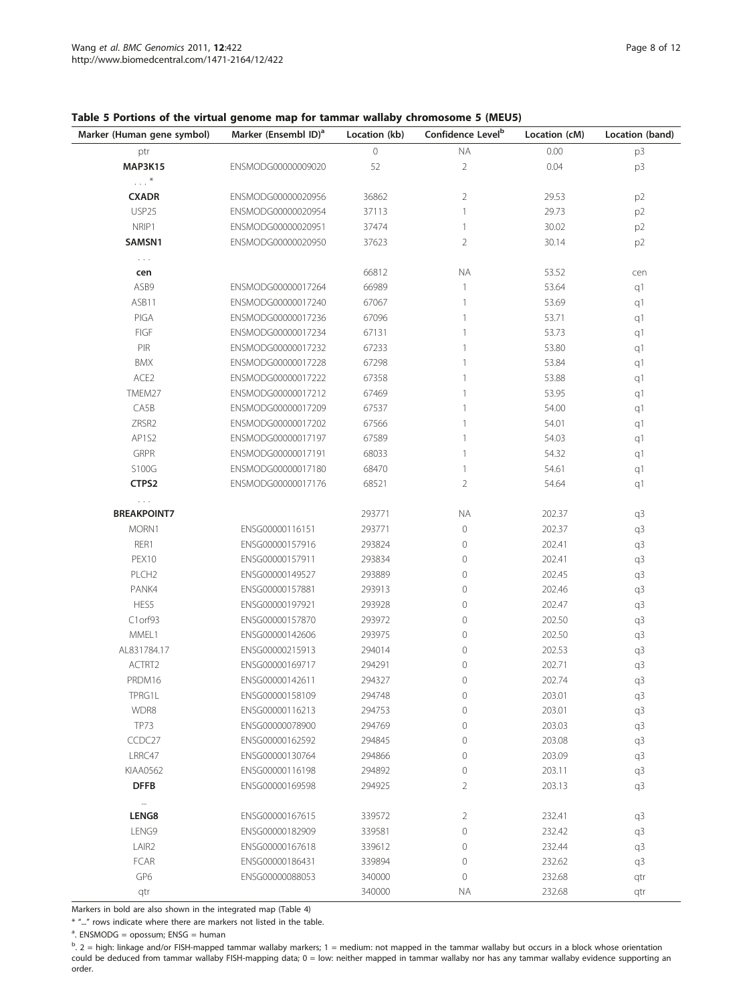| Marker (Human gene symbol) | Marker (Ensembl ID) <sup>a</sup> | Location (kb)  | Confidence Level <sup>b</sup> | Location (cM) | Location (band) |
|----------------------------|----------------------------------|----------------|-------------------------------|---------------|-----------------|
| ptr                        |                                  | $\overline{0}$ | NA                            | 0.00          | p3              |
| <b>MAP3K15</b>             | ENSMODG00000009020               | 52             | $\overline{2}$                | 0.04          | p3              |
| $\ldots$ .                 |                                  |                |                               |               |                 |
| <b>CXADR</b>               | ENSMODG00000020956               | 36862          | 2                             | 29.53         | p <sub>2</sub>  |
| USP25                      | ENSMODG00000020954               | 37113          | $\mathbf{1}$                  | 29.73         | p <sub>2</sub>  |
| NRIP1                      | ENSMODG00000020951               | 37474          | $\mathbf{1}$                  | 30.02         | p <sub>2</sub>  |
| SAMSN1                     | ENSMODG00000020950               | 37623          | 2                             | 30.14         | p <sub>2</sub>  |
| $\sim$ $\sim$ $\sim$       |                                  |                |                               |               |                 |
| cen                        |                                  | 66812          | ΝA                            | 53.52         | cen             |
| ASB9                       | ENSMODG00000017264               | 66989          | $\mathbf{1}$                  | 53.64         | q1              |
| ASB11                      | ENSMODG00000017240               | 67067          | 1                             | 53.69         | q1              |
| PIGA                       | ENSMODG00000017236               | 67096          | 1                             | 53.71         | q1              |
| <b>FIGF</b>                | ENSMODG00000017234               | 67131          | $\mathbf{1}$                  | 53.73         | q1              |
| PIR                        | ENSMODG00000017232               | 67233          | $\mathbf{1}$                  | 53.80         | q1              |
| <b>BMX</b>                 | ENSMODG00000017228               | 67298          | 1                             | 53.84         | q1              |
| ACE2                       | ENSMODG00000017222               | 67358          | 1                             | 53.88         | q1              |
| TMEM27                     | ENSMODG00000017212               | 67469          | 1                             | 53.95         | q1              |
| CA5B                       | ENSMODG00000017209               | 67537          | 1                             | 54.00         | q1              |
| ZRSR2                      | ENSMODG00000017202               | 67566          | 1                             | 54.01         | q1              |
| AP1S2                      | ENSMODG00000017197               | 67589          | 1                             | 54.03         | q1              |
| <b>GRPR</b>                | ENSMODG00000017191               | 68033          | $\mathbf{1}$                  | 54.32         | q1              |
| S100G                      | ENSMODG00000017180               | 68470          | 1                             | 54.61         | q1              |
| CTPS2                      | ENSMODG00000017176               | 68521          | 2                             | 54.64         | q1              |
| $\sim$ $\sim$ $\sim$       |                                  |                |                               |               |                 |
| <b>BREAKPOINT7</b>         |                                  | 293771         | ΝA                            | 202.37        | q <sup>3</sup>  |
| MORN1                      | ENSG00000116151                  | 293771         | 0                             | 202.37        | q3              |
| RER1                       | ENSG00000157916                  | 293824         | 0                             | 202.41        | q3              |
| PEX10                      | ENSG00000157911                  | 293834         | 0                             | 202.41        | q3              |
| PLCH <sub>2</sub>          | ENSG00000149527                  | 293889         | 0                             | 202.45        | q3              |
| PANK4                      | ENSG00000157881                  | 293913         | 0                             | 202.46        | q3              |
| HES5                       | ENSG00000197921                  | 293928         | 0                             | 202.47        | q3              |
| C1orf93                    | ENSG00000157870                  | 293972         | 0                             | 202.50        | q3              |
| MMEL1                      | ENSG00000142606                  | 293975         | 0                             | 202.50        | q3              |
| AL831784.17                | ENSG00000215913                  | 294014         | 0                             | 202.53        | q3              |
| ACTRT2                     | ENSG00000169717                  | 294291         | 0                             | 202.71        | q3              |
| PRDM16                     | ENSG00000142611                  | 294327         | 0                             | 202.74        | q <sub>3</sub>  |
| TPRG1L                     | ENSG00000158109                  | 294748         | 0                             | 203.01        | q3              |
| WDR8                       | ENSG00000116213                  | 294753         | 0                             | 203.01        | q3              |
| TP73                       | ENSG00000078900                  | 294769         | 0                             | 203.03        | q3              |
| CCDC27                     | ENSG00000162592                  | 294845         | 0                             | 203.08        | q3              |
| LRRC47                     | ENSG00000130764                  | 294866         | 0                             | 203.09        | q <sup>3</sup>  |
| <b>KIAA0562</b>            | ENSG00000116198                  | 294892         | 0                             | 203.11        | q <sup>3</sup>  |
| <b>DFFB</b>                | ENSG00000169598                  | 294925         | 2                             | 203.13        | q <sup>3</sup>  |
| $\cdots$                   |                                  |                |                               |               |                 |
| LENG8                      | ENSG00000167615                  | 339572         | 2                             | 232.41        | q3              |
| LENG9                      | ENSG00000182909                  | 339581         | 0                             | 232.42        | q3              |
| LAIR <sub>2</sub>          | ENSG00000167618                  | 339612         | 0                             | 232.44        | q <sup>3</sup>  |
| <b>FCAR</b>                | ENSG00000186431                  | 339894         | 0                             | 232.62        | q <sup>3</sup>  |
| GP6                        | ENSG00000088053                  | 340000         | 0                             | 232.68        | qtr             |
| qtr                        |                                  | 340000         | ΝA                            | 232.68        | qtr             |

#### <span id="page-7-0"></span>Table 5 Portions of the virtual genome map for tammar wallaby chromosome 5 (MEU5)

Markers in bold are also shown in the integrated map (Table 4)

\* "..." rows indicate where there are markers not listed in the table.

<sup>a</sup>. ENSMODG = opossum; ENSG = human

b. 2 = high: linkage and/or FISH-mapped tammar wallaby markers; 1 = medium: not mapped in the tammar wallaby but occurs in a block whose orientation could be deduced from tammar wallaby FISH-mapping data; 0 = low: neither mapped in tammar wallaby nor has any tammar wallaby evidence supporting an order.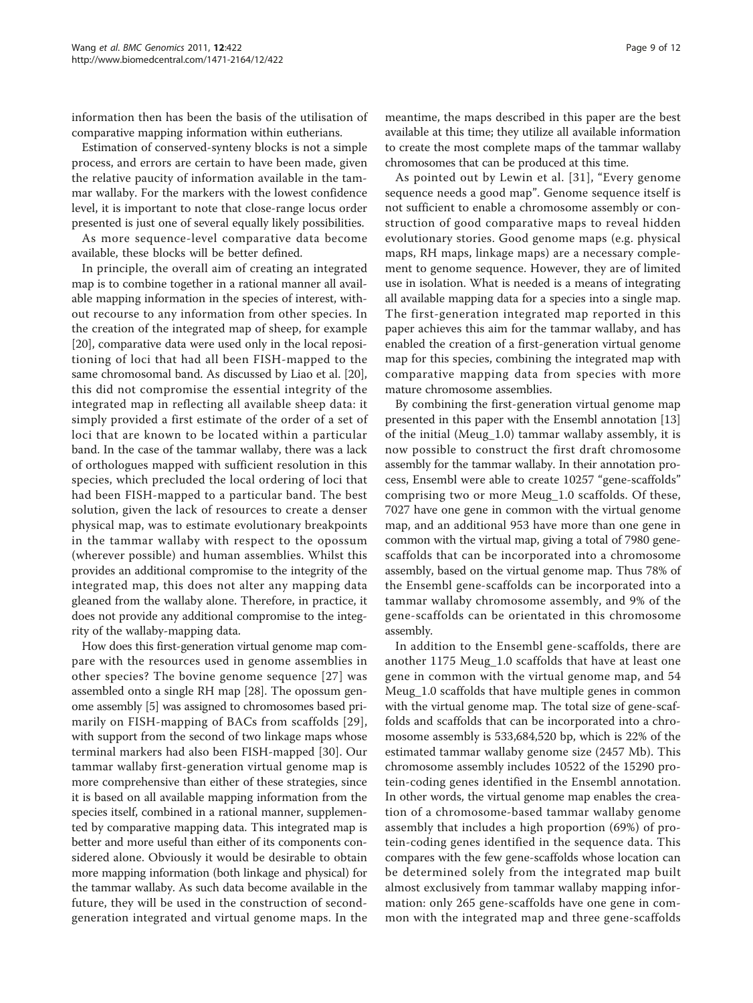information then has been the basis of the utilisation of comparative mapping information within eutherians.

Estimation of conserved-synteny blocks is not a simple process, and errors are certain to have been made, given the relative paucity of information available in the tammar wallaby. For the markers with the lowest confidence level, it is important to note that close-range locus order presented is just one of several equally likely possibilities.

As more sequence-level comparative data become available, these blocks will be better defined.

In principle, the overall aim of creating an integrated map is to combine together in a rational manner all available mapping information in the species of interest, without recourse to any information from other species. In the creation of the integrated map of sheep, for example [[20\]](#page-11-0), comparative data were used only in the local repositioning of loci that had all been FISH-mapped to the same chromosomal band. As discussed by Liao et al. [\[20](#page-11-0)], this did not compromise the essential integrity of the integrated map in reflecting all available sheep data: it simply provided a first estimate of the order of a set of loci that are known to be located within a particular band. In the case of the tammar wallaby, there was a lack of orthologues mapped with sufficient resolution in this species, which precluded the local ordering of loci that had been FISH-mapped to a particular band. The best solution, given the lack of resources to create a denser physical map, was to estimate evolutionary breakpoints in the tammar wallaby with respect to the opossum (wherever possible) and human assemblies. Whilst this provides an additional compromise to the integrity of the integrated map, this does not alter any mapping data gleaned from the wallaby alone. Therefore, in practice, it does not provide any additional compromise to the integrity of the wallaby-mapping data.

How does this first-generation virtual genome map compare with the resources used in genome assemblies in other species? The bovine genome sequence [[27](#page-11-0)] was assembled onto a single RH map [\[28](#page-11-0)]. The opossum genome assembly [\[5\]](#page-11-0) was assigned to chromosomes based primarily on FISH-mapping of BACs from scaffolds [[29](#page-11-0)], with support from the second of two linkage maps whose terminal markers had also been FISH-mapped [\[30](#page-11-0)]. Our tammar wallaby first-generation virtual genome map is more comprehensive than either of these strategies, since it is based on all available mapping information from the species itself, combined in a rational manner, supplemented by comparative mapping data. This integrated map is better and more useful than either of its components considered alone. Obviously it would be desirable to obtain more mapping information (both linkage and physical) for the tammar wallaby. As such data become available in the future, they will be used in the construction of secondgeneration integrated and virtual genome maps. In the meantime, the maps described in this paper are the best available at this time; they utilize all available information to create the most complete maps of the tammar wallaby chromosomes that can be produced at this time.

As pointed out by Lewin et al. [[31\]](#page-11-0), "Every genome sequence needs a good map". Genome sequence itself is not sufficient to enable a chromosome assembly or construction of good comparative maps to reveal hidden evolutionary stories. Good genome maps (e.g. physical maps, RH maps, linkage maps) are a necessary complement to genome sequence. However, they are of limited use in isolation. What is needed is a means of integrating all available mapping data for a species into a single map. The first-generation integrated map reported in this paper achieves this aim for the tammar wallaby, and has enabled the creation of a first-generation virtual genome map for this species, combining the integrated map with comparative mapping data from species with more mature chromosome assemblies.

By combining the first-generation virtual genome map presented in this paper with the Ensembl annotation [[13](#page-11-0)] of the initial (Meug\_1.0) tammar wallaby assembly, it is now possible to construct the first draft chromosome assembly for the tammar wallaby. In their annotation process, Ensembl were able to create 10257 "gene-scaffolds" comprising two or more Meug\_1.0 scaffolds. Of these, 7027 have one gene in common with the virtual genome map, and an additional 953 have more than one gene in common with the virtual map, giving a total of 7980 genescaffolds that can be incorporated into a chromosome assembly, based on the virtual genome map. Thus 78% of the Ensembl gene-scaffolds can be incorporated into a tammar wallaby chromosome assembly, and 9% of the gene-scaffolds can be orientated in this chromosome assembly.

In addition to the Ensembl gene-scaffolds, there are another 1175 Meug\_1.0 scaffolds that have at least one gene in common with the virtual genome map, and 54 Meug\_1.0 scaffolds that have multiple genes in common with the virtual genome map. The total size of gene-scaffolds and scaffolds that can be incorporated into a chromosome assembly is 533,684,520 bp, which is 22% of the estimated tammar wallaby genome size (2457 Mb). This chromosome assembly includes 10522 of the 15290 protein-coding genes identified in the Ensembl annotation. In other words, the virtual genome map enables the creation of a chromosome-based tammar wallaby genome assembly that includes a high proportion (69%) of protein-coding genes identified in the sequence data. This compares with the few gene-scaffolds whose location can be determined solely from the integrated map built almost exclusively from tammar wallaby mapping information: only 265 gene-scaffolds have one gene in common with the integrated map and three gene-scaffolds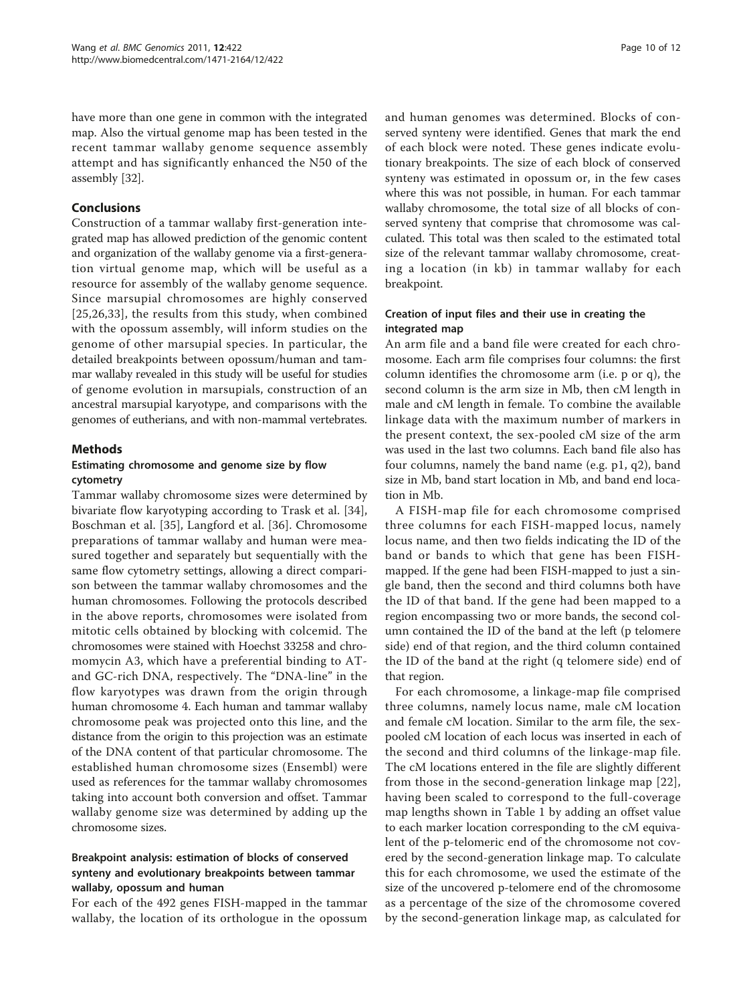have more than one gene in common with the integrated map. Also the virtual genome map has been tested in the recent tammar wallaby genome sequence assembly attempt and has significantly enhanced the N50 of the assembly [[32\]](#page-11-0).

## Conclusions

Construction of a tammar wallaby first-generation integrated map has allowed prediction of the genomic content and organization of the wallaby genome via a first-generation virtual genome map, which will be useful as a resource for assembly of the wallaby genome sequence. Since marsupial chromosomes are highly conserved [[25](#page-11-0),[26,33](#page-11-0)], the results from this study, when combined with the opossum assembly, will inform studies on the genome of other marsupial species. In particular, the detailed breakpoints between opossum/human and tammar wallaby revealed in this study will be useful for studies of genome evolution in marsupials, construction of an ancestral marsupial karyotype, and comparisons with the genomes of eutherians, and with non-mammal vertebrates.

## Methods

#### Estimating chromosome and genome size by flow cytometry

Tammar wallaby chromosome sizes were determined by bivariate flow karyotyping according to Trask et al. [\[34](#page-11-0)], Boschman et al. [[35\]](#page-11-0), Langford et al. [\[36\]](#page-11-0). Chromosome preparations of tammar wallaby and human were measured together and separately but sequentially with the same flow cytometry settings, allowing a direct comparison between the tammar wallaby chromosomes and the human chromosomes. Following the protocols described in the above reports, chromosomes were isolated from mitotic cells obtained by blocking with colcemid. The chromosomes were stained with Hoechst 33258 and chromomycin A3, which have a preferential binding to ATand GC-rich DNA, respectively. The "DNA-line" in the flow karyotypes was drawn from the origin through human chromosome 4. Each human and tammar wallaby chromosome peak was projected onto this line, and the distance from the origin to this projection was an estimate of the DNA content of that particular chromosome. The established human chromosome sizes (Ensembl) were used as references for the tammar wallaby chromosomes taking into account both conversion and offset. Tammar wallaby genome size was determined by adding up the chromosome sizes.

## Breakpoint analysis: estimation of blocks of conserved synteny and evolutionary breakpoints between tammar wallaby, opossum and human

For each of the 492 genes FISH-mapped in the tammar wallaby, the location of its orthologue in the opossum and human genomes was determined. Blocks of conserved synteny were identified. Genes that mark the end of each block were noted. These genes indicate evolutionary breakpoints. The size of each block of conserved synteny was estimated in opossum or, in the few cases where this was not possible, in human. For each tammar wallaby chromosome, the total size of all blocks of conserved synteny that comprise that chromosome was calculated. This total was then scaled to the estimated total size of the relevant tammar wallaby chromosome, creating a location (in kb) in tammar wallaby for each breakpoint.

## Creation of input files and their use in creating the integrated map

An arm file and a band file were created for each chromosome. Each arm file comprises four columns: the first column identifies the chromosome arm (i.e. p or q), the second column is the arm size in Mb, then cM length in male and cM length in female. To combine the available linkage data with the maximum number of markers in the present context, the sex-pooled cM size of the arm was used in the last two columns. Each band file also has four columns, namely the band name (e.g. p1, q2), band size in Mb, band start location in Mb, and band end location in Mb.

A FISH-map file for each chromosome comprised three columns for each FISH-mapped locus, namely locus name, and then two fields indicating the ID of the band or bands to which that gene has been FISHmapped. If the gene had been FISH-mapped to just a single band, then the second and third columns both have the ID of that band. If the gene had been mapped to a region encompassing two or more bands, the second column contained the ID of the band at the left (p telomere side) end of that region, and the third column contained the ID of the band at the right (q telomere side) end of that region.

For each chromosome, a linkage-map file comprised three columns, namely locus name, male cM location and female cM location. Similar to the arm file, the sexpooled cM location of each locus was inserted in each of the second and third columns of the linkage-map file. The cM locations entered in the file are slightly different from those in the second-generation linkage map [[22\]](#page-11-0), having been scaled to correspond to the full-coverage map lengths shown in Table [1](#page-2-0) by adding an offset value to each marker location corresponding to the cM equivalent of the p-telomeric end of the chromosome not covered by the second-generation linkage map. To calculate this for each chromosome, we used the estimate of the size of the uncovered p-telomere end of the chromosome as a percentage of the size of the chromosome covered by the second-generation linkage map, as calculated for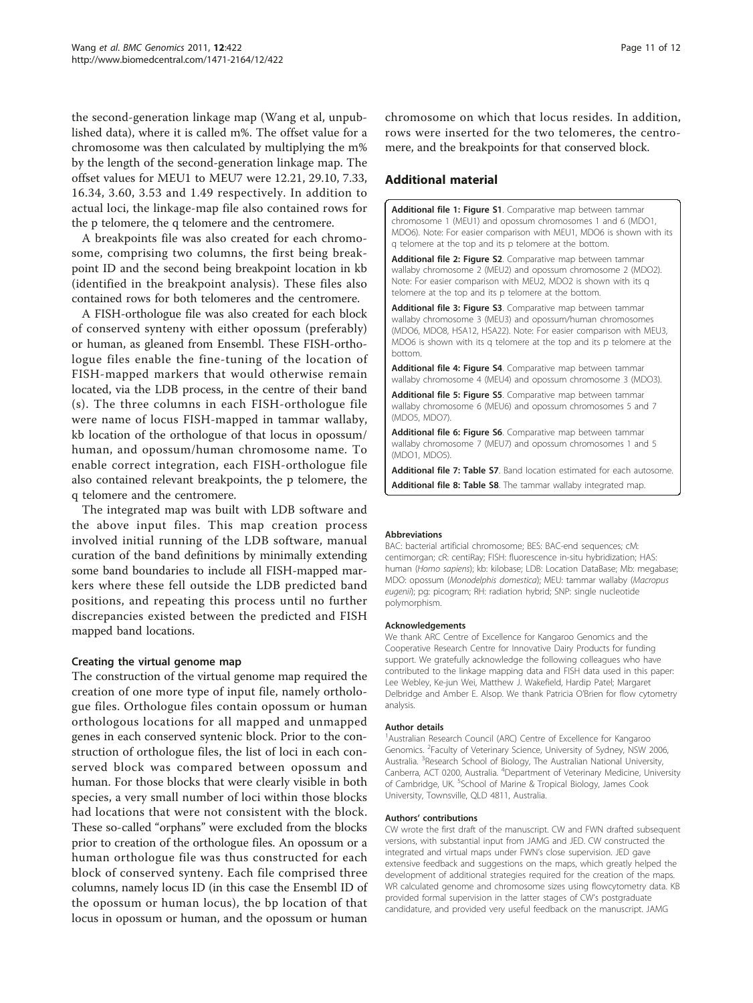<span id="page-10-0"></span>the second-generation linkage map (Wang et al, unpublished data), where it is called m%. The offset value for a chromosome was then calculated by multiplying the m% by the length of the second-generation linkage map. The offset values for MEU1 to MEU7 were 12.21, 29.10, 7.33, 16.34, 3.60, 3.53 and 1.49 respectively. In addition to actual loci, the linkage-map file also contained rows for the p telomere, the q telomere and the centromere.

A breakpoints file was also created for each chromosome, comprising two columns, the first being breakpoint ID and the second being breakpoint location in kb (identified in the breakpoint analysis). These files also contained rows for both telomeres and the centromere.

A FISH-orthologue file was also created for each block of conserved synteny with either opossum (preferably) or human, as gleaned from Ensembl. These FISH-orthologue files enable the fine-tuning of the location of FISH-mapped markers that would otherwise remain located, via the LDB process, in the centre of their band (s). The three columns in each FISH-orthologue file were name of locus FISH-mapped in tammar wallaby, kb location of the orthologue of that locus in opossum/ human, and opossum/human chromosome name. To enable correct integration, each FISH-orthologue file also contained relevant breakpoints, the p telomere, the q telomere and the centromere.

The integrated map was built with LDB software and the above input files. This map creation process involved initial running of the LDB software, manual curation of the band definitions by minimally extending some band boundaries to include all FISH-mapped markers where these fell outside the LDB predicted band positions, and repeating this process until no further discrepancies existed between the predicted and FISH mapped band locations.

#### Creating the virtual genome map

The construction of the virtual genome map required the creation of one more type of input file, namely orthologue files. Orthologue files contain opossum or human orthologous locations for all mapped and unmapped genes in each conserved syntenic block. Prior to the construction of orthologue files, the list of loci in each conserved block was compared between opossum and human. For those blocks that were clearly visible in both species, a very small number of loci within those blocks had locations that were not consistent with the block. These so-called "orphans" were excluded from the blocks prior to creation of the orthologue files. An opossum or a human orthologue file was thus constructed for each block of conserved synteny. Each file comprised three columns, namely locus ID (in this case the Ensembl ID of the opossum or human locus), the bp location of that locus in opossum or human, and the opossum or human

chromosome on which that locus resides. In addition, rows were inserted for the two telomeres, the centromere, and the breakpoints for that conserved block.

## Additional material

[Additional file 1: F](http://www.biomedcentral.com/content/supplementary/1471-2164-12-422-S1.PDF)igure S1. Comparative map between tammar chromosome 1 (MEU1) and opossum chromosomes 1 and 6 (MDO1, MDO6). Note: For easier comparison with MEU1, MDO6 is shown with its q telomere at the top and its p telomere at the bottom.

[Additional file 2: F](http://www.biomedcentral.com/content/supplementary/1471-2164-12-422-S2.PDF)igure S2. Comparative map between tammar wallaby chromosome 2 (MEU2) and opossum chromosome 2 (MDO2). Note: For easier comparison with MEU2, MDO2 is shown with its q telomere at the top and its p telomere at the bottom.

[Additional file 3: F](http://www.biomedcentral.com/content/supplementary/1471-2164-12-422-S3.PDF)igure S3. Comparative map between tammar wallaby chromosome 3 (MEU3) and opossum/human chromosomes (MDO6, MDO8, HSA12, HSA22). Note: For easier comparison with MEU3, MDO6 is shown with its q telomere at the top and its p telomere at the bottom.

[Additional file 4: F](http://www.biomedcentral.com/content/supplementary/1471-2164-12-422-S4.PDF)igure S4. Comparative map between tammar wallaby chromosome 4 (MEU4) and opossum chromosome 3 (MDO3).

[Additional file 5: F](http://www.biomedcentral.com/content/supplementary/1471-2164-12-422-S5.PDF)igure S5. Comparative map between tammar wallaby chromosome 6 (MEU6) and opossum chromosomes 5 and 7 (MDO5, MDO7).

[Additional file 6: F](http://www.biomedcentral.com/content/supplementary/1471-2164-12-422-S6.PDF)igure S6. Comparative map between tammar wallaby chromosome 7 (MEU7) and opossum chromosomes 1 and 5 (MDO1, MDO5).

[Additional file 7: T](http://www.biomedcentral.com/content/supplementary/1471-2164-12-422-S7.XLS)able S7. Band location estimated for each autosome. [Additional file 8: T](http://www.biomedcentral.com/content/supplementary/1471-2164-12-422-S8.XLS)able S8. The tammar wallaby integrated map.

#### Abbreviations

BAC: bacterial artificial chromosome; BES: BAC-end sequences; cM: centimorgan; cR: centiRay; FISH: fluorescence in-situ hybridization; HAS: human (Homo sapiens); kb: kilobase; LDB: Location DataBase; Mb: megabase; MDO: opossum (Monodelphis domestica); MEU: tammar wallaby (Macropus eugenii); pg: picogram; RH: radiation hybrid; SNP: single nucleotide polymorphism.

#### Acknowledgements

We thank ARC Centre of Excellence for Kangaroo Genomics and the Cooperative Research Centre for Innovative Dairy Products for funding support. We gratefully acknowledge the following colleagues who have contributed to the linkage mapping data and FISH data used in this paper: Lee Webley, Ke-jun Wei, Matthew J. Wakefield, Hardip Patel; Margaret Delbridge and Amber E. Alsop. We thank Patricia O'Brien for flow cytometry analysis.

#### Author details

<sup>1</sup> Australian Research Council (ARC) Centre of Excellence for Kangaroo Genomics. <sup>2</sup>Faculty of Veterinary Science, University of Sydney, NSW 2006 Australia. <sup>3</sup>Research School of Biology, The Australian National University Canberra, ACT 0200, Australia. <sup>4</sup>Department of Veterinary Medicine, University of Cambridge, UK. <sup>5</sup>School of Marine & Tropical Biology, James Cook University, Townsville, QLD 4811, Australia.

#### Authors' contributions

CW wrote the first draft of the manuscript. CW and FWN drafted subsequent versions, with substantial input from JAMG and JED. CW constructed the integrated and virtual maps under FWN's close supervision. JED gave extensive feedback and suggestions on the maps, which greatly helped the development of additional strategies required for the creation of the maps. WR calculated genome and chromosome sizes using flowcytometry data. KB provided formal supervision in the latter stages of CW's postgraduate candidature, and provided very useful feedback on the manuscript. JAMG